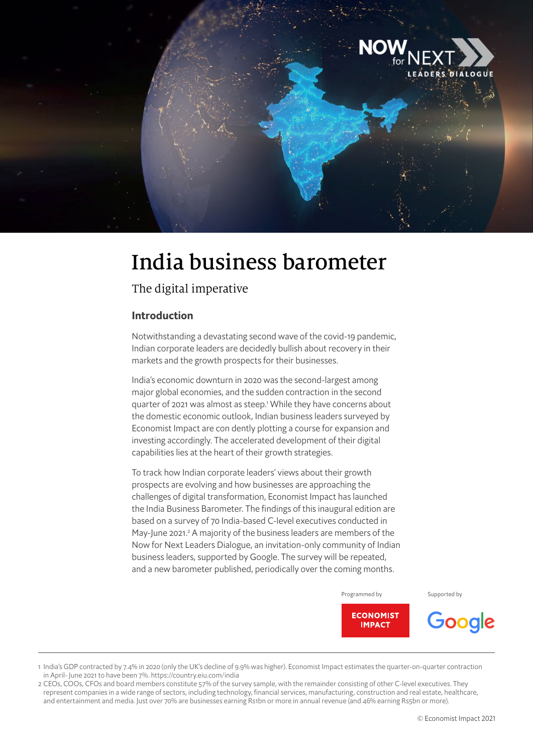

# India business barometer

# The digital imperative

## **Introduction**

Notwithstanding a devastating second wave of the covid-19 pandemic, Indian corporate leaders are decidedly bullish about recovery in their markets and the growth prospects for their businesses.

India's economic downturn in 2020 was the second-largest among major global economies, and the sudden contraction in the second quarter of 2021 was almost as steep.<sup>1</sup> While they have concerns about the domestic economic outlook, Indian business leaders surveyed by Economist Impact are con dently plotting a course for expansion and investing accordingly. The accelerated development of their digital capabilities lies at the heart of their growth strategies.

To track how Indian corporate leaders' views about their growth prospects are evolving and how businesses are approaching the challenges of digital transformation, Economist Impact has launched the India Business Barometer. The findings of this inaugural edition are based on a survey of 70 India-based C-level executives conducted in May-June 2021.<sup>2</sup> A majority of the business leaders are members of the Now for Next Leaders Dialogue, an invitation-only community of Indian business leaders, supported by Google. The survey will be repeated, and a new barometer published, periodically over the coming months.

Programmed by Supported by

Google



1 India's GDP contracted by 7.4% in 2020 (only the UK's decline of 9.9% was higher). Economist Impact estimates the quarter-on-quarter contraction in April- June 2021 to have been 7%. https://country.eiu.com/india

2 CEOs, COOs, CFOs and board members constitute 57% of the survey sample, with the remainder consisting of other C-level executives. They represent companies in a wide range of sectors, including technology, financial services, manufacturing, construction and real estate, healthcare, and entertainment and media. Just over 70% are businesses earning Rs1bn or more in annual revenue (and 46% earning Rs5bn or more).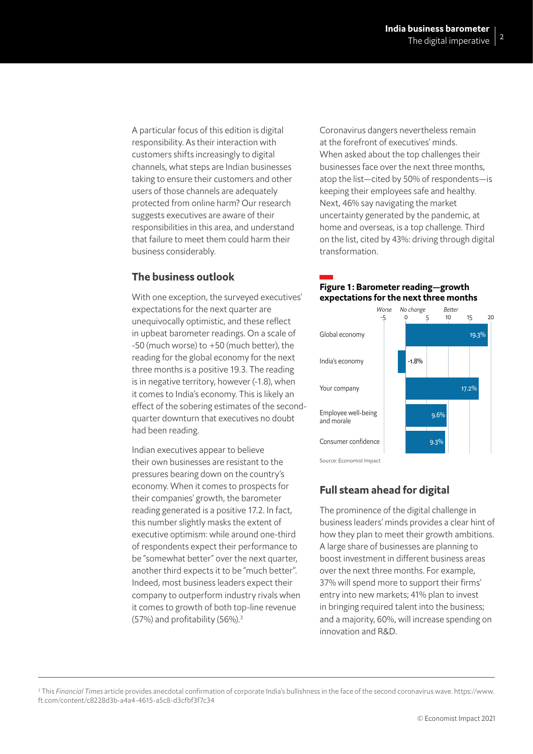responsibility. As their interaction with customers shifts increasingly to digital channels, what steps are Indian businesses taking to ensure their customers and other users of those channels are adequately protected from online harm? Our research suggests executives are aware of their responsibilities in this area, and understand that failure to meet them could harm their business considerably.

## **The business outlook**

With one exception, the surveyed executives' expectations for the next quarter are unequivocally optimistic, and these reflect in upbeat barometer readings. On a scale of -50 (much worse) to +50 (much better), the reading for the global economy for the next three months is a positive 19.3. The reading is in negative territory, however (-1.8), when it comes to India's economy. This is likely an effect of the sobering estimates of the secondquarter downturn that executives no doubt had been reading.

Indian executives appear to believe their own businesses are resistant to the pressures bearing down on the country's economy. When it comes to prospects for their companies' growth, the barometer reading generated is a positive 17.2. In fact, this number slightly masks the extent of executive optimism: while around one-third of respondents expect their performance to be "somewhat better" over the next quarter, another third expects it to be "much better". Indeed, most business leaders expect their company to outperform industry rivals when it comes to growth of both top-line revenue  $(57%)$  and profitability  $(56%)$ .<sup>3</sup>

The digital imperative<br>A particular focus of this edition is digital<br>A particular focus of this edition is digital Coronavirus dangers nevertheless remain Coronavirus dangers nevertheless remain at the forefront of executives' minds. When asked about the top challenges their businesses face over the next three months, atop the list—cited by 50% of respondents—is keeping their employees safe and healthy. Next, 46% say navigating the market uncertainty generated by the pandemic, at home and overseas, is a top challenge. Third on the list, cited by 43%: driving through digital transformation.

## Figure 1: Barometer reading—growth expectations for the next three months



## **Full steam ahead for digital**

The prominence of the digital challenge in business leaders' minds provides a clear hint of how they plan to meet their growth ambitions. A large share of businesses are planning to boost investment in different business areas over the next three months. For example, 37% will spend more to support their firms' entry into new markets; 41% plan to invest in bringing required talent into the business; and a majority, 60%, will increase spending on innovation and R&D.

<sup>3</sup> This Financial Times article provides anecdotal confirmation of corporate India's bullishness in the face of the second coronavirus wave. https://www. ft.com/content/c8228d3b-a4a4-4615-a5c8-d3cfbf3f7c34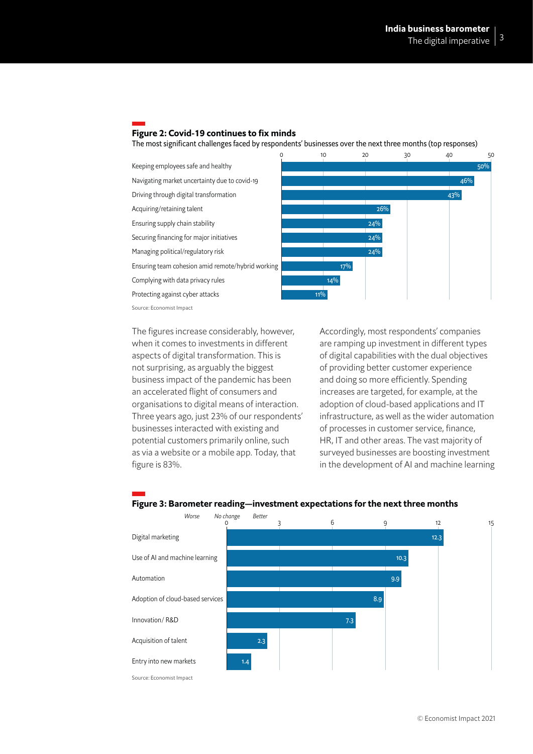## Figure 2: Covid-19 continues to fix minds

The most significant challenges faced by respondents' businesses over the next three months (top responses)



when it comes to investments in different aspects of digital transformation. This is not surprising, as arguably the biggest business impact of the pandemic has been an accelerated flight of consumers and organisations to digital means of interaction. Three years ago, just 23% of our respondents' businesses interacted with existing and potential customers primarily online, such as via a website or a mobile app. Today, that figure is 83%.

Accordingly, most respondents' companies are ramping up investment in different types of digital capabilities with the dual objectives of providing better customer experience and doing so more efficiently. Spending increases are targeted, for example, at the adoption of cloud-based applications and IT infrastructure, as well as the wider automation of processes in customer service, finance, HR, IT and other areas. The vast majority of surveyed businesses are boosting investment in the development of AI and machine learning



### Figure 3: Barometer reading—investment expectations for the next three months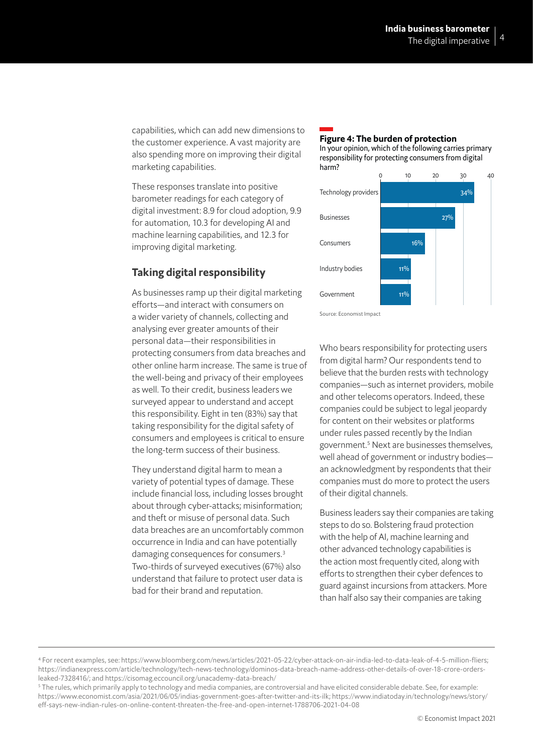The digital imperative<br>capabilities, which can add new dimensions to the customer experience. A vast majority are also spending more on improving their digital marketing capabilities.

These responses translate into positive barometer readings for each category of digital investment: 8.9 for cloud adoption, 9.9 for automation, 10.3 for developing AI and machine learning capabilities, and 12.3 for improving digital marketing.

## **Taking digital responsibility**

As businesses ramp up their digital marketing efforts—and interact with consumers on a wider variety of channels, collecting and analysing ever greater amounts of their personal data—their responsibilities in protecting consumers from data breaches and other online harm increase. The same is true of the well-being and privacy of their employees as well. To their credit, business leaders we surveyed appear to understand and accept this responsibility. Eight in ten (83%) say that taking responsibility for the digital safety of consumers and employees is critical to ensure the long-term success of their business.

They understand digital harm to mean a variety of potential types of damage. These include financial loss, including losses brought about through cyber-attacks; misinformation; and theft or misuse of personal data. Such data breaches are an uncomfortably common occurrence in India and can have potentially damaging consequences for consumers.3 Two-thirds of surveyed executives (67%) also understand that failure to protect user data is bad for their brand and reputation.

### Figure 4: The burden of protection In your opinion, which of the following carries primary



Source: Economist Impact

Who bears responsibility for protecting users from digital harm? Our respondents tend to believe that the burden rests with technology companies—such as internet providers, mobile and other telecoms operators. Indeed, these companies could be subject to legal jeopardy for content on their websites or platforms under rules passed recently by the Indian government.5 Next are businesses themselves, well ahead of government or industry bodies an acknowledgment by respondents that their companies must do more to protect the users of their digital channels.

Business leaders say their companies are taking steps to do so. Bolstering fraud protection with the help of AI, machine learning and other advanced technology capabilities is the action most frequently cited, along with efforts to strengthen their cyber defences to guard against incursions from attackers. More than half also say their companies are taking

<sup>4</sup> For recent examples, see: https://www.bloomberg.com/news/articles/2021-05-22/cyber-attack-on-air-india-led-to-data-leak-of-4-5-million-fliers; https://indianexpress.com/article/technology/tech-news-technology/dominos-data-breach-name-address-other-details-of-over-18-crore-ordersleaked-7328416/; and https://cisomag.eccouncil.org/unacademy-data-breach/

<sup>5</sup> The rules, which primarily apply to technology and media companies, are controversial and have elicited considerable debate. See, for example: https://www.economist.com/asia/2021/06/05/indias-government-goes-after-twitter-and-its-ilk; https://www.indiatoday.in/technology/news/story/ eff-says-new-indian-rules-on-online-content-threaten-the-free-and-open-internet-1788706-2021-04-08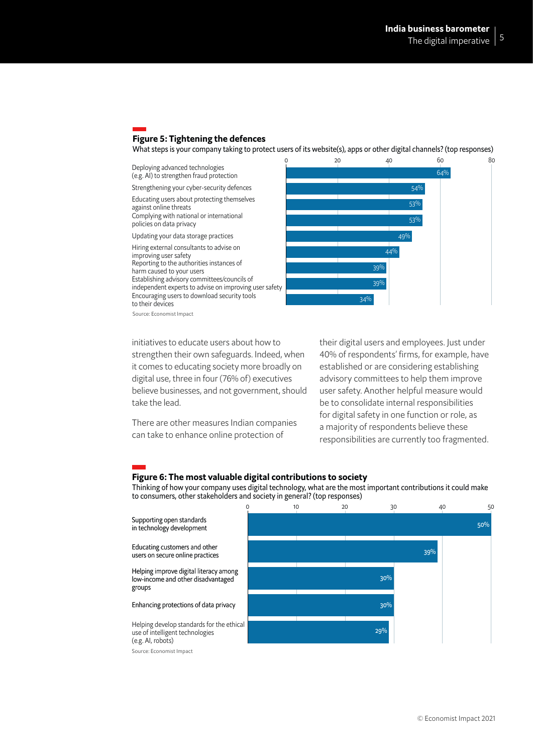## Figure 5: Tightening the defences

What steps is your company taking to protect users of its website(s), apps or other digital channels? (top responses)

Deploying advanced technologies (e.g. AI) to strengthen fraud protection

Strengthening your cyber-security defences Educating users about protecting themselves

against online threats Complying with national or international policies on data privacy

Updating your data storage practices

Hiring external consultants to advise on improving user safety Reporting to the authorities instances of harm caused to your users Establishing advisory committees/councils of

independent experts to advise on improving user safety Encouraging users to download security tools to their devices



Source: Economist Impact

strengthen their own safeguards. Indeed, when it comes to educating society more broadly on digital use, three in four (76% of) executives believe businesses, and not government, should take the lead.

There are other measures Indian companies can take to enhance online protection of

their digital users and employees. Just under 40% of respondents' firms, for example, have established or are considering establishing advisory committees to help them improve user safety. Another helpful measure would be to consolidate internal responsibilities for digital safety in one function or role, as a majority of respondents believe these responsibilities are currently too fragmented.

#### Figure 6: The most valuable digital contributions to society

Thinking of how your company uses digital technology, what are the most important contributions it could make to consumers, other stakeholders and society in general? (top responses)

Supporting open standards in technology development Educating customers and other users on secure online practices Helping improve digital literacy among low-income and other disadvantaged groups

#### Enhancing protections of data privacy

Helping develop standards for the ethical use of intelligent technologies (e.g. AI, robots)

Source: Economist Impact

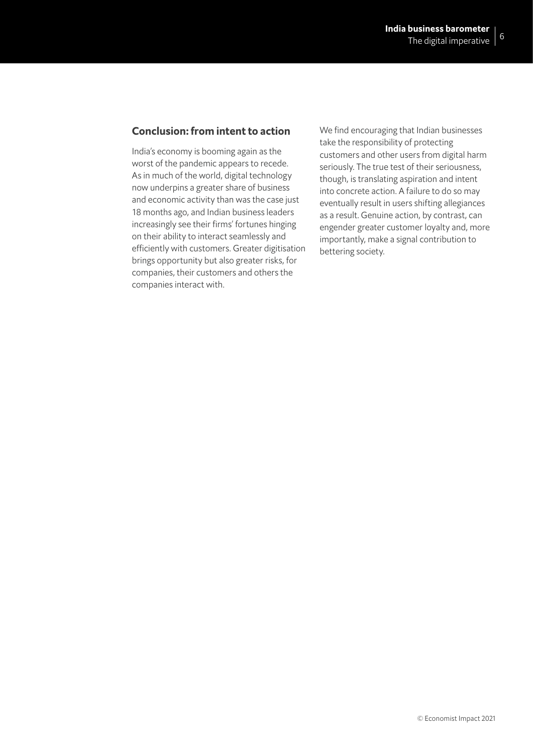## **Conclusion: from intent to action**

India's economy is booming again as the worst of the pandemic appears to recede. As in much of the world, digital technology now underpins a greater share of business and economic activity than was the case just 18 months ago, and Indian business leaders increasingly see their firms' fortunes hinging on their ability to interact seamlessly and efficiently with customers. Greater digitisation brings opportunity but also greater risks, for companies, their customers and others the companies interact with.

We find encouraging that Indian businesses take the responsibility of protecting customers and other users from digital harm seriously. The true test of their seriousness, though, is translating aspiration and intent into concrete action. A failure to do so may eventually result in users shifting allegiances as a result. Genuine action, by contrast, can engender greater customer loyalty and, more importantly, make a signal contribution to bettering society.